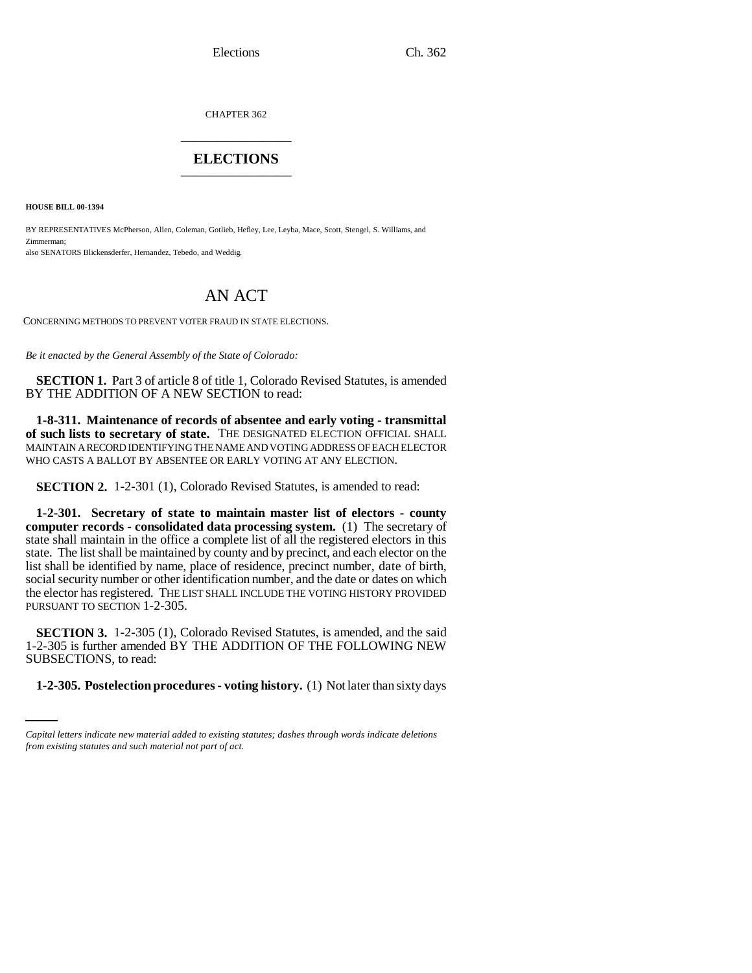Elections Ch. 362

CHAPTER 362 \_\_\_\_\_\_\_\_\_\_\_\_\_\_\_

## **ELECTIONS** \_\_\_\_\_\_\_\_\_\_\_\_\_\_\_

**HOUSE BILL 00-1394** 

BY REPRESENTATIVES McPherson, Allen, Coleman, Gotlieb, Hefley, Lee, Leyba, Mace, Scott, Stengel, S. Williams, and Zimmerman; also SENATORS Blickensderfer, Hernandez, Tebedo, and Weddig.

## AN ACT

CONCERNING METHODS TO PREVENT VOTER FRAUD IN STATE ELECTIONS.

*Be it enacted by the General Assembly of the State of Colorado:*

**SECTION 1.** Part 3 of article 8 of title 1, Colorado Revised Statutes, is amended BY THE ADDITION OF A NEW SECTION to read:

**1-8-311. Maintenance of records of absentee and early voting - transmittal of such lists to secretary of state.** THE DESIGNATED ELECTION OFFICIAL SHALL MAINTAIN A RECORD IDENTIFYING THE NAME AND VOTING ADDRESS OF EACH ELECTOR WHO CASTS A BALLOT BY ABSENTEE OR EARLY VOTING AT ANY ELECTION.

**SECTION 2.** 1-2-301 (1), Colorado Revised Statutes, is amended to read:

**1-2-301. Secretary of state to maintain master list of electors - county computer records - consolidated data processing system.** (1) The secretary of state shall maintain in the office a complete list of all the registered electors in this state. The list shall be maintained by county and by precinct, and each elector on the list shall be identified by name, place of residence, precinct number, date of birth, social security number or other identification number, and the date or dates on which the elector has registered. THE LIST SHALL INCLUDE THE VOTING HISTORY PROVIDED PURSUANT TO SECTION 1-2-305.

SUBSECTIONS, to read: **SECTION 3.** 1-2-305 (1), Colorado Revised Statutes, is amended, and the said 1-2-305 is further amended BY THE ADDITION OF THE FOLLOWING NEW

**1-2-305. Postelection procedures - voting history.** (1) Not later than sixty days

*Capital letters indicate new material added to existing statutes; dashes through words indicate deletions from existing statutes and such material not part of act.*